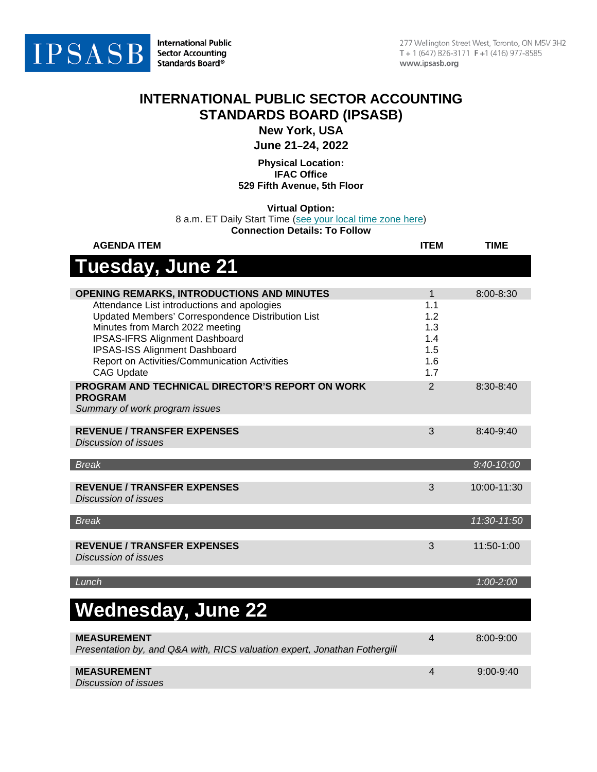

**International Public Sector Accounting** Standards Board®

## **INTERNATIONAL PUBLIC SECTOR ACCOUNTING STANDARDS BOARD (IPSASB)**

**New York, USA**

**June 21–24, 2022**

**Physical Location: IFAC Office 529 Fifth Avenue, 5th Floor**

**Virtual Option:**

8 a.m. ET Daily Start Time [\(see your local time zone here\)](https://www.timeanddate.com/worldclock/fixedtime.html?msg=IPSASB+Meeting&iso=20220621T08&p1=179)

**Connection Details: To Follow**

| <b>AGENDA ITEM</b>                                                            | <b>ITEM</b>    | <b>TIME</b>    |
|-------------------------------------------------------------------------------|----------------|----------------|
| Tuesday, June 21                                                              |                |                |
|                                                                               |                |                |
| <b>OPENING REMARKS, INTRODUCTIONS AND MINUTES</b>                             | 1              | 8:00-8:30      |
| Attendance List introductions and apologies                                   | 1.1            |                |
| Updated Members' Correspondence Distribution List                             | 1.2            |                |
| Minutes from March 2022 meeting                                               | 1.3            |                |
| <b>IPSAS-IFRS Alignment Dashboard</b><br><b>IPSAS-ISS Alignment Dashboard</b> | 1.4<br>1.5     |                |
| Report on Activities/Communication Activities                                 | 1.6            |                |
| <b>CAG Update</b>                                                             | 1.7            |                |
| PROGRAM AND TECHNICAL DIRECTOR'S REPORT ON WORK                               | 2              | 8:30-8:40      |
| <b>PROGRAM</b>                                                                |                |                |
| Summary of work program issues                                                |                |                |
|                                                                               |                |                |
| <b>REVENUE / TRANSFER EXPENSES</b>                                            | 3              | $8:40-9:40$    |
| Discussion of issues                                                          |                |                |
|                                                                               |                |                |
| <b>Break</b>                                                                  |                | $9:40 - 10:00$ |
|                                                                               |                |                |
| <b>REVENUE / TRANSFER EXPENSES</b>                                            | 3              | 10:00-11:30    |
| <b>Discussion of issues</b>                                                   |                |                |
| <b>Break</b>                                                                  |                | 11:30-11:50    |
|                                                                               |                |                |
| <b>REVENUE / TRANSFER EXPENSES</b>                                            | 3              | 11:50-1:00     |
| <b>Discussion of issues</b>                                                   |                |                |
|                                                                               |                |                |
| Lunch                                                                         |                | 1:00-2:00      |
|                                                                               |                |                |
|                                                                               |                |                |
| <b>Wednesday, June 22</b>                                                     |                |                |
|                                                                               |                |                |
| <b>MEASUREMENT</b>                                                            | $\overline{4}$ | 8:00-9:00      |
| Presentation by, and Q&A with, RICS valuation expert, Jonathan Fothergill     |                |                |
|                                                                               |                |                |
| <b>MEASUREMENT</b>                                                            | 4              | 9:00-9:40      |
| Discussion of issues                                                          |                |                |